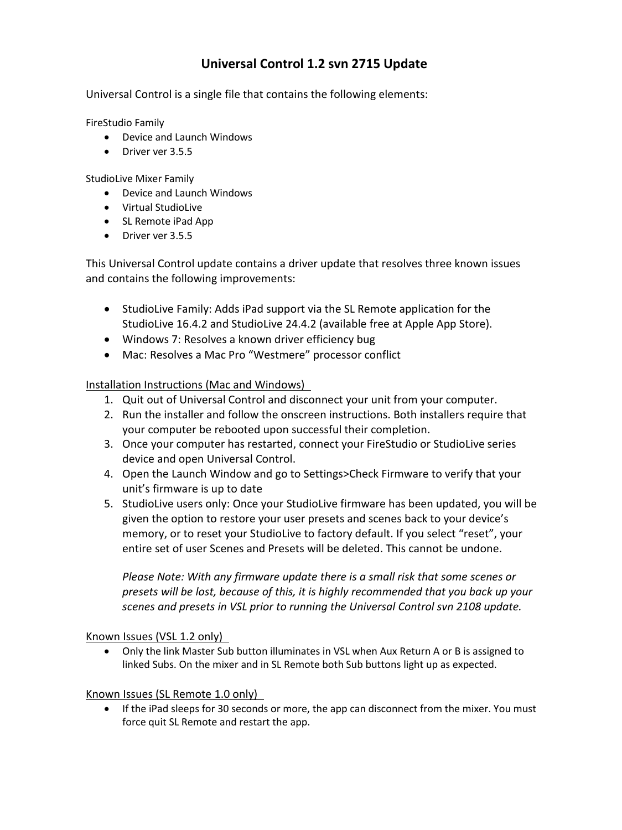## **Universal Control 1.2 svn 2715 Update**

Universal Control is a single file that contains the following elements:

FireStudio Family

- Device and Launch Windows
- Driver ver 3.5.5

StudioLive Mixer Family

- Device and Launch Windows
- Virtual StudioLive
- SL Remote iPad App
- Driver ver 3.5.5

This Universal Control update contains a driver update that resolves three known issues and contains the following improvements:

- StudioLive Family: Adds iPad support via the SL Remote application for the StudioLive 16.4.2 and StudioLive 24.4.2 (available free at Apple App Store).
- Windows 7: Resolves a known driver efficiency bug
- Mac: Resolves a Mac Pro "Westmere" processor conflict

Installation Instructions (Mac and Windows)

- 1. Quit out of Universal Control and disconnect your unit from your computer.
- 2. Run the installer and follow the onscreen instructions. Both installers require that your computer be rebooted upon successful their completion.
- 3. Once your computer has restarted, connect your FireStudio or StudioLive series device and open Universal Control.
- 4. Open the Launch Window and go to Settings>Check Firmware to verify that your unit's firmware is up to date
- 5. StudioLive users only: Once your StudioLive firmware has been updated, you will be given the option to restore your user presets and scenes back to your device's memory, or to reset your StudioLive to factory default. If you select "reset", your entire set of user Scenes and Presets will be deleted. This cannot be undone.

*Please Note: With any firmware update there is a small risk that some scenes or presets will be lost, because of this, it is highly recommended that you back up your scenes and presets in VSL prior to running the Universal Control svn 2108 update.* 

Known Issues (VSL 1.2 only)

• Only the link Master Sub button illuminates in VSL when Aux Return A or B is assigned to linked Subs. On the mixer and in SL Remote both Sub buttons light up as expected.

Known Issues (SL Remote 1.0 only)

• If the iPad sleeps for 30 seconds or more, the app can disconnect from the mixer. You must force quit SL Remote and restart the app.